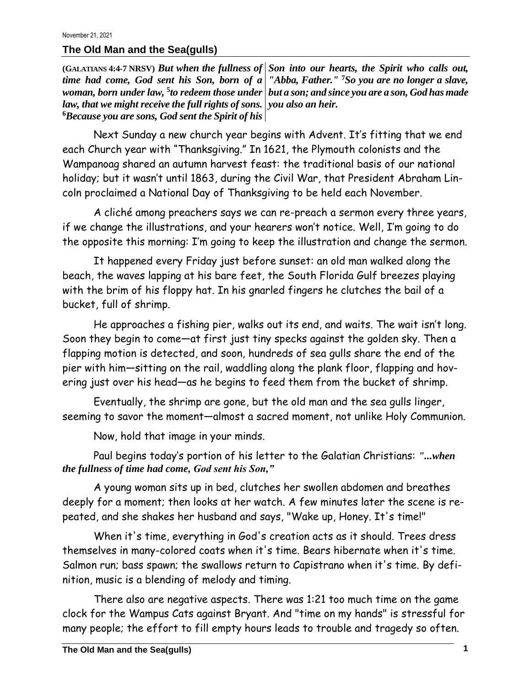## **The Old Man and the Sea(gulls)**

**(GALATIANS 4:4-7 NRSV)** *But when the fullness of Son into our hearts, the Spirit who calls out, time had come, God sent his Son, born of a "Abba, Father."* **<sup>7</sup>***So you are no longer a slave, woman, born under law,* **<sup>5</sup>** *to redeem those under but a son; and since you are a son, God has made law, that we might receive the full rights of sons. you also an heir.*  **<sup>6</sup>***Because you are sons, God sent the Spirit of his* 

Next Sunday a new church year begins with Advent. It's fitting that we end each Church year with "Thanksgiving." In 1621, the Plymouth colonists and the Wampanoag shared an autumn harvest feast: the traditional basis of our national holiday; but it wasn't until 1863, during the Civil War, that President Abraham Lincoln proclaimed a National Day of Thanksgiving to be held each November.

A cliché among preachers says we can re-preach a sermon every three years, if we change the illustrations, and your hearers won't notice. Well, I'm going to do the opposite this morning: I'm going to keep the illustration and change the sermon.

It happened every Friday just before sunset: an old man walked along the beach, the waves lapping at his bare feet, the South Florida Gulf breezes playing with the brim of his floppy hat. In his gnarled fingers he clutches the bail of a bucket, full of shrimp.

He approaches a fishing pier, walks out its end, and waits. The wait isn't long. Soon they begin to come—at first just tiny specks against the golden sky. Then a flapping motion is detected, and soon, hundreds of sea gulls share the end of the pier with him—sitting on the rail, waddling along the plank floor, flapping and hovering just over his head—as he begins to feed them from the bucket of shrimp.

Eventually, the shrimp are gone, but the old man and the sea gulls linger, seeming to savor the moment—almost a sacred moment, not unlike Holy Communion.

Now, hold that image in your minds.

Paul begins today's portion of his letter to the Galatian Christians: *"...when the fullness of time had come, God sent his Son,"*

A young woman sits up in bed, clutches her swollen abdomen and breathes deeply for a moment; then looks at her watch. A few minutes later the scene is repeated, and she shakes her husband and says, "Wake up, Honey. It's time!"

When it's time, everything in God's creation acts as it should. Trees dress themselves in many-colored coats when it's time. Bears hibernate when it's time. Salmon run; bass spawn; the swallows return to Capistrano when it's time. By definition, music is a blending of melody and timing.

There also are negative aspects. There was 1:21 too much time on the game clock for the Wampus Cats against Bryant. And "time on my hands" is stressful for many people; the effort to fill empty hours leads to trouble and tragedy so often.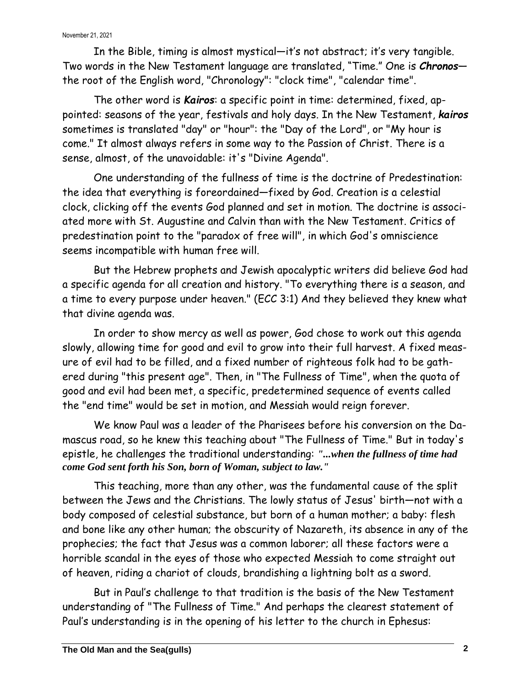In the Bible, timing is almost mystical—it's not abstract; it's very tangible. Two words in the New Testament language are translated, "Time." One is *Chronos* the root of the English word, "Chronology": "clock time", "calendar time".

The other word is *Kairos*: a specific point in time: determined, fixed, appointed: seasons of the year, festivals and holy days. In the New Testament, *kairos* sometimes is translated "day" or "hour": the "Day of the Lord", or "My hour is come." It almost always refers in some way to the Passion of Christ. There is a sense, almost, of the unavoidable: it's "Divine Agenda".

One understanding of the fullness of time is the doctrine of Predestination: the idea that everything is foreordained—fixed by God. Creation is a celestial clock, clicking off the events God planned and set in motion. The doctrine is associated more with St. Augustine and Calvin than with the New Testament. Critics of predestination point to the "paradox of free will", in which God's omniscience seems incompatible with human free will.

But the Hebrew prophets and Jewish apocalyptic writers did believe God had a specific agenda for all creation and history. "To everything there is a season, and a time to every purpose under heaven." (ECC 3:1) And they believed they knew what that divine agenda was.

In order to show mercy as well as power, God chose to work out this agenda slowly, allowing time for good and evil to grow into their full harvest. A fixed measure of evil had to be filled, and a fixed number of righteous folk had to be gathered during "this present age". Then, in "The Fullness of Time", when the quota of good and evil had been met, a specific, predetermined sequence of events called the "end time" would be set in motion, and Messiah would reign forever.

We know Paul was a leader of the Pharisees before his conversion on the Damascus road, so he knew this teaching about "The Fullness of Time." But in today's epistle, he challenges the traditional understanding: *"...when the fullness of time had come God sent forth his Son, born of Woman, subject to law."*

This teaching, more than any other, was the fundamental cause of the split between the Jews and the Christians. The lowly status of Jesus' birth—not with a body composed of celestial substance, but born of a human mother; a baby: flesh and bone like any other human; the obscurity of Nazareth, its absence in any of the prophecies; the fact that Jesus was a common laborer; all these factors were a horrible scandal in the eyes of those who expected Messiah to come straight out of heaven, riding a chariot of clouds, brandishing a lightning bolt as a sword.

But in Paul's challenge to that tradition is the basis of the New Testament understanding of "The Fullness of Time." And perhaps the clearest statement of Paul's understanding is in the opening of his letter to the church in Ephesus: